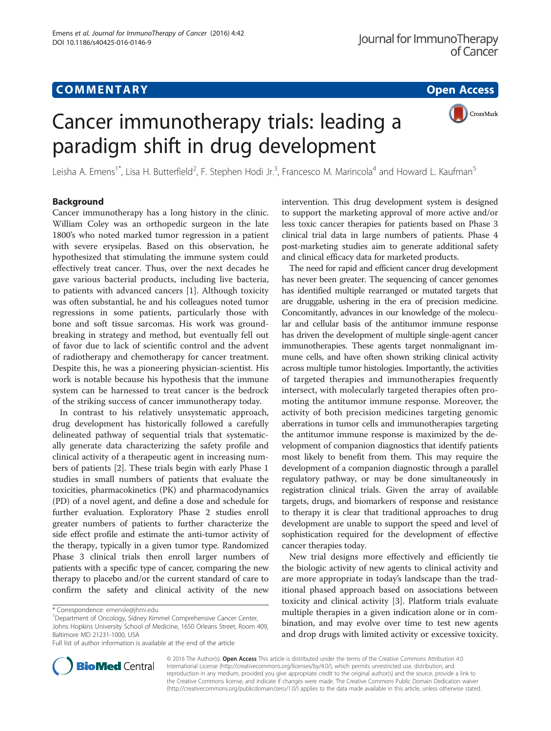## **COMMENTARY COMMENTARY Open Access**

CrossMark

# Cancer immunotherapy trials: leading a paradigm shift in drug development

Leisha A. Emens<sup>1\*</sup>, Lisa H. Butterfield<sup>2</sup>, F. Stephen Hodi Jr.<sup>3</sup>, Francesco M. Marincola<sup>4</sup> and Howard L. Kaufman<sup>5</sup>

## Background

Cancer immunotherapy has a long history in the clinic. William Coley was an orthopedic surgeon in the late 1800's who noted marked tumor regression in a patient with severe erysipelas. Based on this observation, he hypothesized that stimulating the immune system could effectively treat cancer. Thus, over the next decades he gave various bacterial products, including live bacteria, to patients with advanced cancers [[1](#page-6-0)]. Although toxicity was often substantial, he and his colleagues noted tumor regressions in some patients, particularly those with bone and soft tissue sarcomas. His work was groundbreaking in strategy and method, but eventually fell out of favor due to lack of scientific control and the advent of radiotherapy and chemotherapy for cancer treatment. Despite this, he was a pioneering physician-scientist. His work is notable because his hypothesis that the immune system can be harnessed to treat cancer is the bedrock of the striking success of cancer immunotherapy today.

In contrast to his relatively unsystematic approach, drug development has historically followed a carefully delineated pathway of sequential trials that systematically generate data characterizing the safety profile and clinical activity of a therapeutic agent in increasing numbers of patients [\[2](#page-6-0)]. These trials begin with early Phase 1 studies in small numbers of patients that evaluate the toxicities, pharmacokinetics (PK) and pharmacodynamics (PD) of a novel agent, and define a dose and schedule for further evaluation. Exploratory Phase 2 studies enroll greater numbers of patients to further characterize the side effect profile and estimate the anti-tumor activity of the therapy, typically in a given tumor type. Randomized Phase 3 clinical trials then enroll larger numbers of patients with a specific type of cancer, comparing the new therapy to placebo and/or the current standard of care to confirm the safety and clinical activity of the new

<sup>1</sup>Department of Oncology, Sidney Kimmel Comprehensive Cancer Center, Johns Hopkins University School of Medicine, 1650 Orleans Street, Room 409, Baltimore MD 21231-1000, USA

Full list of author information is available at the end of the article

intervention. This drug development system is designed to support the marketing approval of more active and/or less toxic cancer therapies for patients based on Phase 3 clinical trial data in large numbers of patients. Phase 4 post-marketing studies aim to generate additional safety and clinical efficacy data for marketed products.

The need for rapid and efficient cancer drug development has never been greater. The sequencing of cancer genomes has identified multiple rearranged or mutated targets that are druggable, ushering in the era of precision medicine. Concomitantly, advances in our knowledge of the molecular and cellular basis of the antitumor immune response has driven the development of multiple single-agent cancer immunotherapies. These agents target nonmalignant immune cells, and have often shown striking clinical activity across multiple tumor histologies. Importantly, the activities of targeted therapies and immunotherapies frequently intersect, with molecularly targeted therapies often promoting the antitumor immune response. Moreover, the activity of both precision medicines targeting genomic aberrations in tumor cells and immunotherapies targeting the antitumor immune response is maximized by the development of companion diagnostics that identify patients most likely to benefit from them. This may require the development of a companion diagnostic through a parallel regulatory pathway, or may be done simultaneously in registration clinical trials. Given the array of available targets, drugs, and biomarkers of response and resistance to therapy it is clear that traditional approaches to drug development are unable to support the speed and level of sophistication required for the development of effective cancer therapies today.

New trial designs more effectively and efficiently tie the biologic activity of new agents to clinical activity and are more appropriate in today's landscape than the traditional phased approach based on associations between toxicity and clinical activity [\[3](#page-6-0)]. Platform trials evaluate multiple therapies in a given indication alone or in combination, and may evolve over time to test new agents and drop drugs with limited activity or excessive toxicity.



© 2016 The Author(s). Open Access This article is distributed under the terms of the Creative Commons Attribution 4.0 International License [\(http://creativecommons.org/licenses/by/4.0/](http://creativecommons.org/licenses/by/4.0/)), which permits unrestricted use, distribution, and reproduction in any medium, provided you give appropriate credit to the original author(s) and the source, provide a link to the Creative Commons license, and indicate if changes were made. The Creative Commons Public Domain Dedication waiver [\(http://creativecommons.org/publicdomain/zero/1.0/](http://creativecommons.org/publicdomain/zero/1.0/)) applies to the data made available in this article, unless otherwise stated.

<sup>\*</sup> Correspondence: [emensle@jhmi.edu](mailto:emensle@jhmi.edu) <sup>1</sup>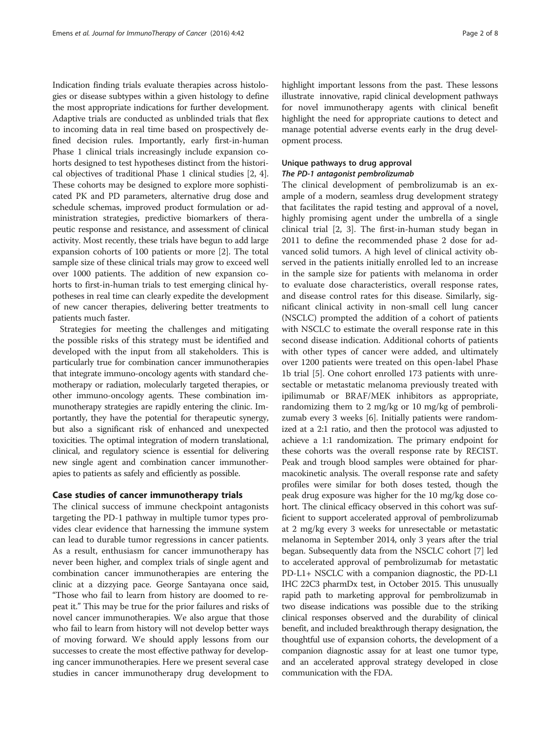Indication finding trials evaluate therapies across histologies or disease subtypes within a given histology to define the most appropriate indications for further development. Adaptive trials are conducted as unblinded trials that flex to incoming data in real time based on prospectively defined decision rules. Importantly, early first-in-human Phase 1 clinical trials increasingly include expansion cohorts designed to test hypotheses distinct from the historical objectives of traditional Phase 1 clinical studies [\[2](#page-6-0), [4](#page-6-0)]. These cohorts may be designed to explore more sophisticated PK and PD parameters, alternative drug dose and schedule schemas, improved product formulation or administration strategies, predictive biomarkers of therapeutic response and resistance, and assessment of clinical activity. Most recently, these trials have begun to add large expansion cohorts of 100 patients or more [\[2](#page-6-0)]. The total sample size of these clinical trials may grow to exceed well over 1000 patients. The addition of new expansion cohorts to first-in-human trials to test emerging clinical hypotheses in real time can clearly expedite the development of new cancer therapies, delivering better treatments to patients much faster.

Strategies for meeting the challenges and mitigating the possible risks of this strategy must be identified and developed with the input from all stakeholders. This is particularly true for combination cancer immunotherapies that integrate immuno-oncology agents with standard chemotherapy or radiation, molecularly targeted therapies, or other immuno-oncology agents. These combination immunotherapy strategies are rapidly entering the clinic. Importantly, they have the potential for therapeutic synergy, but also a significant risk of enhanced and unexpected toxicities. The optimal integration of modern translational, clinical, and regulatory science is essential for delivering new single agent and combination cancer immunotherapies to patients as safely and efficiently as possible.

## Case studies of cancer immunotherapy trials

The clinical success of immune checkpoint antagonists targeting the PD-1 pathway in multiple tumor types provides clear evidence that harnessing the immune system can lead to durable tumor regressions in cancer patients. As a result, enthusiasm for cancer immunotherapy has never been higher, and complex trials of single agent and combination cancer immunotherapies are entering the clinic at a dizzying pace. George Santayana once said, "Those who fail to learn from history are doomed to repeat it." This may be true for the prior failures and risks of novel cancer immunotherapies. We also argue that those who fail to learn from history will not develop better ways of moving forward. We should apply lessons from our successes to create the most effective pathway for developing cancer immunotherapies. Here we present several case studies in cancer immunotherapy drug development to highlight important lessons from the past. These lessons illustrate innovative, rapid clinical development pathways for novel immunotherapy agents with clinical benefit highlight the need for appropriate cautions to detect and manage potential adverse events early in the drug development process.

## Unique pathways to drug approval The PD-1 antagonist pembrolizumab

The clinical development of pembrolizumab is an example of a modern, seamless drug development strategy that facilitates the rapid testing and approval of a novel, highly promising agent under the umbrella of a single clinical trial [[2, 3\]](#page-6-0). The first-in-human study began in 2011 to define the recommended phase 2 dose for advanced solid tumors. A high level of clinical activity observed in the patients initially enrolled led to an increase in the sample size for patients with melanoma in order to evaluate dose characteristics, overall response rates, and disease control rates for this disease. Similarly, significant clinical activity in non-small cell lung cancer (NSCLC) prompted the addition of a cohort of patients with NSCLC to estimate the overall response rate in this second disease indication. Additional cohorts of patients with other types of cancer were added, and ultimately over 1200 patients were treated on this open-label Phase 1b trial [[5\]](#page-6-0). One cohort enrolled 173 patients with unresectable or metastatic melanoma previously treated with ipilimumab or BRAF/MEK inhibitors as appropriate, randomizing them to 2 mg/kg or 10 mg/kg of pembrolizumab every 3 weeks [[6\]](#page-6-0). Initially patients were randomized at a 2:1 ratio, and then the protocol was adjusted to achieve a 1:1 randomization. The primary endpoint for these cohorts was the overall response rate by RECIST. Peak and trough blood samples were obtained for pharmacokinetic analysis. The overall response rate and safety profiles were similar for both doses tested, though the peak drug exposure was higher for the 10 mg/kg dose cohort. The clinical efficacy observed in this cohort was sufficient to support accelerated approval of pembrolizumab at 2 mg/kg every 3 weeks for unresectable or metastatic melanoma in September 2014, only 3 years after the trial began. Subsequently data from the NSCLC cohort [\[7](#page-6-0)] led to accelerated approval of pembrolizumab for metastatic PD-L1+ NSCLC with a companion diagnostic, the PD-L1 IHC 22C3 pharmDx test, in October 2015. This unusually rapid path to marketing approval for pembrolizumab in two disease indications was possible due to the striking clinical responses observed and the durability of clinical benefit, and included breakthrough therapy designation, the thoughtful use of expansion cohorts, the development of a companion diagnostic assay for at least one tumor type, and an accelerated approval strategy developed in close communication with the FDA.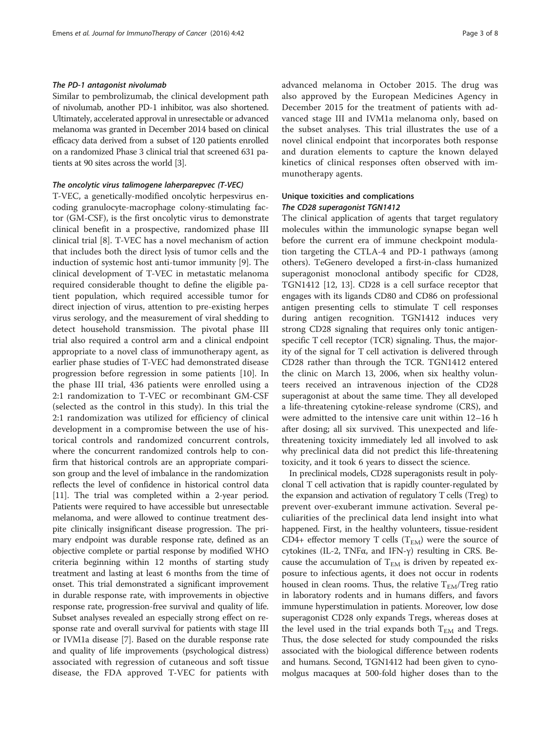#### The PD-1 antagonist nivolumab

Similar to pembrolizumab, the clinical development path of nivolumab, another PD-1 inhibitor, was also shortened. Ultimately, accelerated approval in unresectable or advanced melanoma was granted in December 2014 based on clinical efficacy data derived from a subset of 120 patients enrolled on a randomized Phase 3 clinical trial that screened 631 patients at 90 sites across the world [[3\]](#page-6-0).

## The oncolytic virus talimogene laherparepvec (T-VEC)

T-VEC, a genetically-modified oncolytic herpesvirus encoding granulocyte-macrophage colony-stimulating factor (GM-CSF), is the first oncolytic virus to demonstrate clinical benefit in a prospective, randomized phase III clinical trial [\[8\]](#page-6-0). T-VEC has a novel mechanism of action that includes both the direct lysis of tumor cells and the induction of systemic host anti-tumor immunity [\[9](#page-6-0)]. The clinical development of T-VEC in metastatic melanoma required considerable thought to define the eligible patient population, which required accessible tumor for direct injection of virus, attention to pre-existing herpes virus serology, and the measurement of viral shedding to detect household transmission. The pivotal phase III trial also required a control arm and a clinical endpoint appropriate to a novel class of immunotherapy agent, as earlier phase studies of T-VEC had demonstrated disease progression before regression in some patients [\[10](#page-6-0)]. In the phase III trial, 436 patients were enrolled using a 2:1 randomization to T-VEC or recombinant GM-CSF (selected as the control in this study). In this trial the 2:1 randomization was utilized for efficiency of clinical development in a compromise between the use of historical controls and randomized concurrent controls, where the concurrent randomized controls help to confirm that historical controls are an appropriate comparison group and the level of imbalance in the randomization reflects the level of confidence in historical control data [[11](#page-6-0)]. The trial was completed within a 2-year period. Patients were required to have accessible but unresectable melanoma, and were allowed to continue treatment despite clinically insignificant disease progression. The primary endpoint was durable response rate, defined as an objective complete or partial response by modified WHO criteria beginning within 12 months of starting study treatment and lasting at least 6 months from the time of onset. This trial demonstrated a significant improvement in durable response rate, with improvements in objective response rate, progression-free survival and quality of life. Subset analyses revealed an especially strong effect on response rate and overall survival for patients with stage III or IVM1a disease [\[7\]](#page-6-0). Based on the durable response rate and quality of life improvements (psychological distress) associated with regression of cutaneous and soft tissue disease, the FDA approved T-VEC for patients with advanced melanoma in October 2015. The drug was also approved by the European Medicines Agency in December 2015 for the treatment of patients with advanced stage III and IVM1a melanoma only, based on the subset analyses. This trial illustrates the use of a novel clinical endpoint that incorporates both response and duration elements to capture the known delayed kinetics of clinical responses often observed with immunotherapy agents.

## Unique toxicities and complications The CD28 superagonist TGN1412

The clinical application of agents that target regulatory molecules within the immunologic synapse began well before the current era of immune checkpoint modulation targeting the CTLA-4 and PD-1 pathways (among others). TeGenero developed a first-in-class humanized superagonist monoclonal antibody specific for CD28, TGN1412 [[12, 13](#page-6-0)]. CD28 is a cell surface receptor that engages with its ligands CD80 and CD86 on professional antigen presenting cells to stimulate T cell responses during antigen recognition. TGN1412 induces very strong CD28 signaling that requires only tonic antigenspecific T cell receptor (TCR) signaling. Thus, the majority of the signal for T cell activation is delivered through CD28 rather than through the TCR. TGN1412 entered the clinic on March 13, 2006, when six healthy volunteers received an intravenous injection of the CD28 superagonist at about the same time. They all developed a life-threatening cytokine-release syndrome (CRS), and were admitted to the intensive care unit within 12–16 h after dosing; all six survived. This unexpected and lifethreatening toxicity immediately led all involved to ask why preclinical data did not predict this life-threatening toxicity, and it took 6 years to dissect the science.

In preclinical models, CD28 superagonists result in polyclonal T cell activation that is rapidly counter-regulated by the expansion and activation of regulatory T cells (Treg) to prevent over-exuberant immune activation. Several peculiarities of the preclinical data lend insight into what happened. First, in the healthy volunteers, tissue-resident CD4+ effector memory T cells  $(T_{EM})$  were the source of cytokines (IL-2, TNFα, and IFN-γ) resulting in CRS. Because the accumulation of  $T_{EM}$  is driven by repeated exposure to infectious agents, it does not occur in rodents housed in clean rooms. Thus, the relative  $T_{EM}/T$ reg ratio in laboratory rodents and in humans differs, and favors immune hyperstimulation in patients. Moreover, low dose superagonist CD28 only expands Tregs, whereas doses at the level used in the trial expands both  $T_{EM}$  and Tregs. Thus, the dose selected for study compounded the risks associated with the biological difference between rodents and humans. Second, TGN1412 had been given to cynomolgus macaques at 500-fold higher doses than to the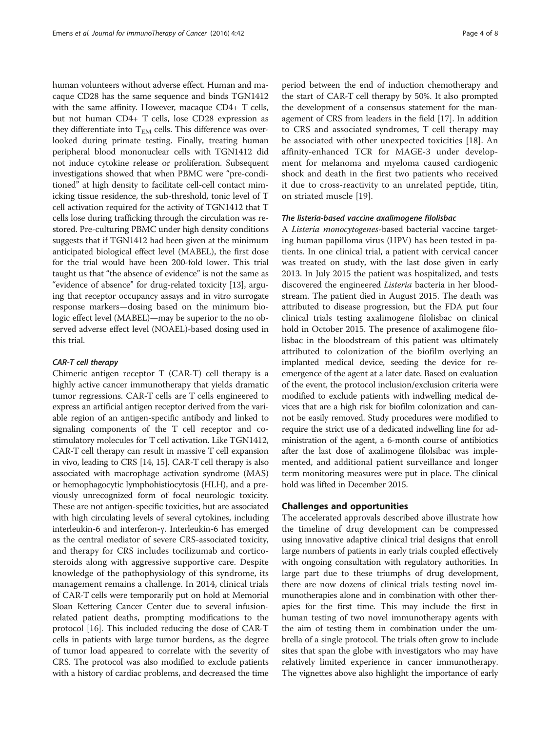human volunteers without adverse effect. Human and macaque CD28 has the same sequence and binds TGN1412 with the same affinity. However, macaque CD4+ T cells, but not human CD4+ T cells, lose CD28 expression as they differentiate into  $T_{EM}$  cells. This difference was overlooked during primate testing. Finally, treating human peripheral blood mononuclear cells with TGN1412 did not induce cytokine release or proliferation. Subsequent investigations showed that when PBMC were "pre-conditioned" at high density to facilitate cell-cell contact mimicking tissue residence, the sub-threshold, tonic level of T cell activation required for the activity of TGN1412 that T cells lose during trafficking through the circulation was restored. Pre-culturing PBMC under high density conditions suggests that if TGN1412 had been given at the minimum anticipated biological effect level (MABEL), the first dose for the trial would have been 200-fold lower. This trial taught us that "the absence of evidence" is not the same as "evidence of absence" for drug-related toxicity [\[13\]](#page-6-0), arguing that receptor occupancy assays and in vitro surrogate response markers—dosing based on the minimum biologic effect level (MABEL)—may be superior to the no observed adverse effect level (NOAEL)-based dosing used in this trial.

#### CAR-T cell therapy

Chimeric antigen receptor T (CAR-T) cell therapy is a highly active cancer immunotherapy that yields dramatic tumor regressions. CAR-T cells are T cells engineered to express an artificial antigen receptor derived from the variable region of an antigen-specific antibody and linked to signaling components of the T cell receptor and costimulatory molecules for T cell activation. Like TGN1412, CAR-T cell therapy can result in massive T cell expansion in vivo, leading to CRS [\[14, 15](#page-6-0)]. CAR-T cell therapy is also associated with macrophage activation syndrome (MAS) or hemophagocytic lymphohistiocytosis (HLH), and a previously unrecognized form of focal neurologic toxicity. These are not antigen-specific toxicities, but are associated with high circulating levels of several cytokines, including interleukin-6 and interferon-γ. Interleukin-6 has emerged as the central mediator of severe CRS-associated toxicity, and therapy for CRS includes tocilizumab and corticosteroids along with aggressive supportive care. Despite knowledge of the pathophysiology of this syndrome, its management remains a challenge. In 2014, clinical trials of CAR-T cells were temporarily put on hold at Memorial Sloan Kettering Cancer Center due to several infusionrelated patient deaths, prompting modifications to the protocol [[16\]](#page-6-0). This included reducing the dose of CAR-T cells in patients with large tumor burdens, as the degree of tumor load appeared to correlate with the severity of CRS. The protocol was also modified to exclude patients with a history of cardiac problems, and decreased the time

period between the end of induction chemotherapy and the start of CAR-T cell therapy by 50%. It also prompted the development of a consensus statement for the management of CRS from leaders in the field [\[17\]](#page-6-0). In addition to CRS and associated syndromes, T cell therapy may be associated with other unexpected toxicities [[18\]](#page-6-0). An affinity-enhanced TCR for MAGE-3 under development for melanoma and myeloma caused cardiogenic shock and death in the first two patients who received it due to cross-reactivity to an unrelated peptide, titin, on striated muscle [[19\]](#page-6-0).

## The listeria-based vaccine axalimogene filolisbac

<sup>A</sup> Listeria monocytogenes-based bacterial vaccine targeting human papilloma virus (HPV) has been tested in patients. In one clinical trial, a patient with cervical cancer was treated on study, with the last dose given in early 2013. In July 2015 the patient was hospitalized, and tests discovered the engineered Listeria bacteria in her bloodstream. The patient died in August 2015. The death was attributed to disease progression, but the FDA put four clinical trials testing axalimogene filolisbac on clinical hold in October 2015. The presence of axalimogene filolisbac in the bloodstream of this patient was ultimately attributed to colonization of the biofilm overlying an implanted medical device, seeding the device for reemergence of the agent at a later date. Based on evaluation of the event, the protocol inclusion/exclusion criteria were modified to exclude patients with indwelling medical devices that are a high risk for biofilm colonization and cannot be easily removed. Study procedures were modified to require the strict use of a dedicated indwelling line for administration of the agent, a 6-month course of antibiotics after the last dose of axalimogene filolsibac was implemented, and additional patient surveillance and longer term monitoring measures were put in place. The clinical hold was lifted in December 2015.

#### Challenges and opportunities

The accelerated approvals described above illustrate how the timeline of drug development can be compressed using innovative adaptive clinical trial designs that enroll large numbers of patients in early trials coupled effectively with ongoing consultation with regulatory authorities. In large part due to these triumphs of drug development, there are now dozens of clinical trials testing novel immunotherapies alone and in combination with other therapies for the first time. This may include the first in human testing of two novel immunotherapy agents with the aim of testing them in combination under the umbrella of a single protocol. The trials often grow to include sites that span the globe with investigators who may have relatively limited experience in cancer immunotherapy. The vignettes above also highlight the importance of early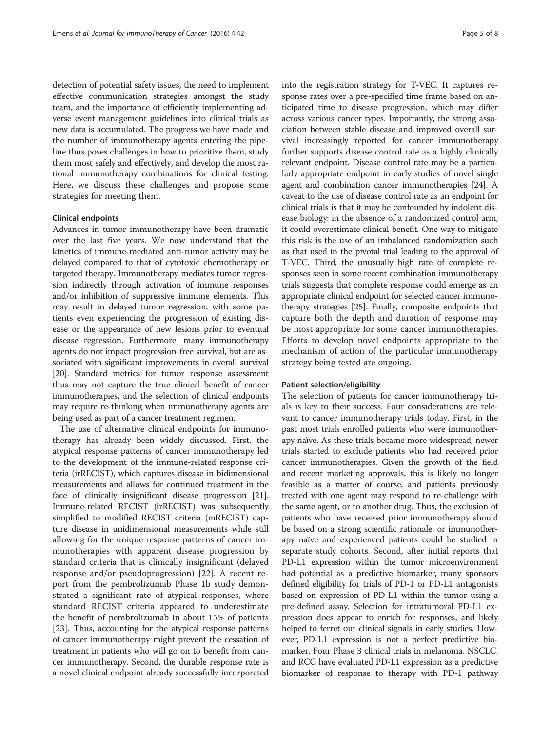detection of potential safety issues, the need to implement effective communication strategies amongst the study team, and the importance of efficiently implementing adverse event management guidelines into clinical trials as new data is accumulated. The progress we have made and the number of immunotherapy agents entering the pipeline thus poses challenges in how to prioritize them, study them most safely and effectively, and develop the most rational immunotherapy combinations for clinical testing. Here, we discuss these challenges and propose some strategies for meeting them.

#### Clinical endpoints

Advances in tumor immunotherapy have been dramatic over the last five years. We now understand that the kinetics of immune-mediated anti-tumor activity may be delayed compared to that of cytotoxic chemotherapy or targeted therapy. Immunotherapy mediates tumor regression indirectly through activation of immune responses and/or inhibition of suppressive immune elements. This may result in delayed tumor regression, with some patients even experiencing the progression of existing disease or the appearance of new lesions prior to eventual disease regression. Furthermore, many immunotherapy agents do not impact progression-free survival, but are associated with significant improvements in overall survival [[20](#page-6-0)]. Standard metrics for tumor response assessment thus may not capture the true clinical benefit of cancer immunotherapies, and the selection of clinical endpoints may require re-thinking when immunotherapy agents are being used as part of a cancer treatment regimen.

The use of alternative clinical endpoints for immunotherapy has already been widely discussed. First, the atypical response patterns of cancer immunotherapy led to the development of the immune-related response criteria (irRECIST), which captures disease in bidimensional measurements and allows for continued treatment in the face of clinically insignificant disease progression [[21](#page-6-0)]. Immune-related RECIST (irRECIST) was subsequently simplified to modified RECIST criteria (mRECIST) capture disease in unidimensional measurements while still allowing for the unique response patterns of cancer immunotherapies with apparent disease progression by standard criteria that is clinically insignificant (delayed response and/or pseudoprogression) [[22\]](#page-6-0). A recent report from the pembrolizumab Phase 1b study demonstrated a significant rate of atypical responses, where standard RECIST criteria appeared to underestimate the benefit of pembrolizumab in about 15% of patients [[23\]](#page-7-0). Thus, accounting for the atypical response patterns of cancer immunotherapy might prevent the cessation of treatment in patients who will go on to benefit from cancer immunotherapy. Second, the durable response rate is a novel clinical endpoint already successfully incorporated

into the registration strategy for T-VEC. It captures response rates over a pre-specified time frame based on anticipated time to disease progression, which may differ across various cancer types. Importantly, the strong association between stable disease and improved overall survival increasingly reported for cancer immunotherapy further supports disease control rate as a highly clinically relevant endpoint. Disease control rate may be a particularly appropriate endpoint in early studies of novel single agent and combination cancer immunotherapies [[24](#page-7-0)]. A caveat to the use of disease control rate as an endpoint for clinical trials is that it may be confounded by indolent disease biology: in the absence of a randomized control arm, it could overestimate clinical benefit. One way to mitigate this risk is the use of an imbalanced randomization such as that used in the pivotal trial leading to the approval of T-VEC. Third, the unusually high rate of complete responses seen in some recent combination immunotherapy trials suggests that complete response could emerge as an appropriate clinical endpoint for selected cancer immunotherapy strategies [[25\]](#page-7-0). Finally, composite endpoints that capture both the depth and duration of response may be most appropriate for some cancer immunotherapies. Efforts to develop novel endpoints appropriate to the mechanism of action of the particular immunotherapy strategy being tested are ongoing.

#### Patient selection/eligibility

The selection of patients for cancer immunotherapy trials is key to their success. Four considerations are relevant to cancer immunotherapy trials today. First, in the past most trials enrolled patients who were immunotherapy naïve. As these trials became more widespread, newer trials started to exclude patients who had received prior cancer immunotherapies. Given the growth of the field and recent marketing approvals, this is likely no longer feasible as a matter of course, and patients previously treated with one agent may respond to re-challenge with the same agent, or to another drug. Thus, the exclusion of patients who have received prior immunotherapy should be based on a strong scientific rationale, or immunotherapy naïve and experienced patients could be studied in separate study cohorts. Second, after initial reports that PD-L1 expression within the tumor microenvironment had potential as a predictive biomarker, many sponsors defined eligibility for trials of PD-1 or PD-L1 antagonists based on expression of PD-L1 within the tumor using a pre-defined assay. Selection for intratumoral PD-L1 expression does appear to enrich for responses, and likely helped to ferret out clinical signals in early studies. However, PD-L1 expression is not a perfect predictive biomarker. Four Phase 3 clinical trials in melanoma, NSCLC, and RCC have evaluated PD-L1 expression as a predictive biomarker of response to therapy with PD-1 pathway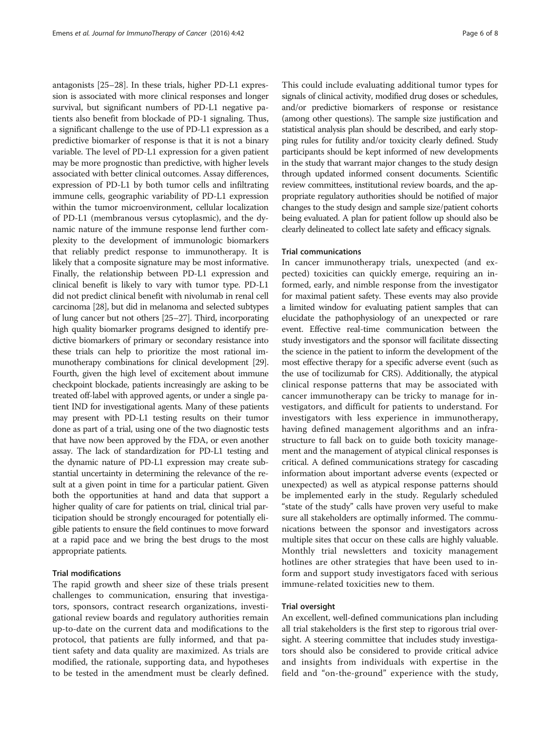antagonists [\[25](#page-7-0)–[28](#page-7-0)]. In these trials, higher PD-L1 expression is associated with more clinical responses and longer survival, but significant numbers of PD-L1 negative patients also benefit from blockade of PD-1 signaling. Thus, a significant challenge to the use of PD-L1 expression as a predictive biomarker of response is that it is not a binary variable. The level of PD-L1 expression for a given patient may be more prognostic than predictive, with higher levels associated with better clinical outcomes. Assay differences, expression of PD-L1 by both tumor cells and infiltrating immune cells, geographic variability of PD-L1 expression within the tumor microenvironment, cellular localization of PD-L1 (membranous versus cytoplasmic), and the dynamic nature of the immune response lend further complexity to the development of immunologic biomarkers that reliably predict response to immunotherapy. It is likely that a composite signature may be most informative. Finally, the relationship between PD-L1 expression and clinical benefit is likely to vary with tumor type. PD-L1 did not predict clinical benefit with nivolumab in renal cell carcinoma [\[28\]](#page-7-0), but did in melanoma and selected subtypes of lung cancer but not others [\[25](#page-7-0)–[27](#page-7-0)]. Third, incorporating high quality biomarker programs designed to identify predictive biomarkers of primary or secondary resistance into these trials can help to prioritize the most rational immunotherapy combinations for clinical development [\[29](#page-7-0)]. Fourth, given the high level of excitement about immune checkpoint blockade, patients increasingly are asking to be treated off-label with approved agents, or under a single patient IND for investigational agents. Many of these patients may present with PD-L1 testing results on their tumor done as part of a trial, using one of the two diagnostic tests that have now been approved by the FDA, or even another assay. The lack of standardization for PD-L1 testing and the dynamic nature of PD-L1 expression may create substantial uncertainty in determining the relevance of the result at a given point in time for a particular patient. Given both the opportunities at hand and data that support a higher quality of care for patients on trial, clinical trial participation should be strongly encouraged for potentially eligible patients to ensure the field continues to move forward at a rapid pace and we bring the best drugs to the most appropriate patients.

## Trial modifications

The rapid growth and sheer size of these trials present challenges to communication, ensuring that investigators, sponsors, contract research organizations, investigational review boards and regulatory authorities remain up-to-date on the current data and modifications to the protocol, that patients are fully informed, and that patient safety and data quality are maximized. As trials are modified, the rationale, supporting data, and hypotheses to be tested in the amendment must be clearly defined.

This could include evaluating additional tumor types for signals of clinical activity, modified drug doses or schedules, and/or predictive biomarkers of response or resistance (among other questions). The sample size justification and statistical analysis plan should be described, and early stopping rules for futility and/or toxicity clearly defined. Study participants should be kept informed of new developments in the study that warrant major changes to the study design through updated informed consent documents. Scientific review committees, institutional review boards, and the appropriate regulatory authorities should be notified of major changes to the study design and sample size/patient cohorts being evaluated. A plan for patient follow up should also be clearly delineated to collect late safety and efficacy signals.

## Trial communications

In cancer immunotherapy trials, unexpected (and expected) toxicities can quickly emerge, requiring an informed, early, and nimble response from the investigator for maximal patient safety. These events may also provide a limited window for evaluating patient samples that can elucidate the pathophysiology of an unexpected or rare event. Effective real-time communication between the study investigators and the sponsor will facilitate dissecting the science in the patient to inform the development of the most effective therapy for a specific adverse event (such as the use of tocilizumab for CRS). Additionally, the atypical clinical response patterns that may be associated with cancer immunotherapy can be tricky to manage for investigators, and difficult for patients to understand. For investigators with less experience in immunotherapy, having defined management algorithms and an infrastructure to fall back on to guide both toxicity management and the management of atypical clinical responses is critical. A defined communications strategy for cascading information about important adverse events (expected or unexpected) as well as atypical response patterns should be implemented early in the study. Regularly scheduled "state of the study" calls have proven very useful to make sure all stakeholders are optimally informed. The communications between the sponsor and investigators across multiple sites that occur on these calls are highly valuable. Monthly trial newsletters and toxicity management hotlines are other strategies that have been used to inform and support study investigators faced with serious immune-related toxicities new to them.

#### Trial oversight

An excellent, well-defined communications plan including all trial stakeholders is the first step to rigorous trial oversight. A steering committee that includes study investigators should also be considered to provide critical advice and insights from individuals with expertise in the field and "on-the-ground" experience with the study,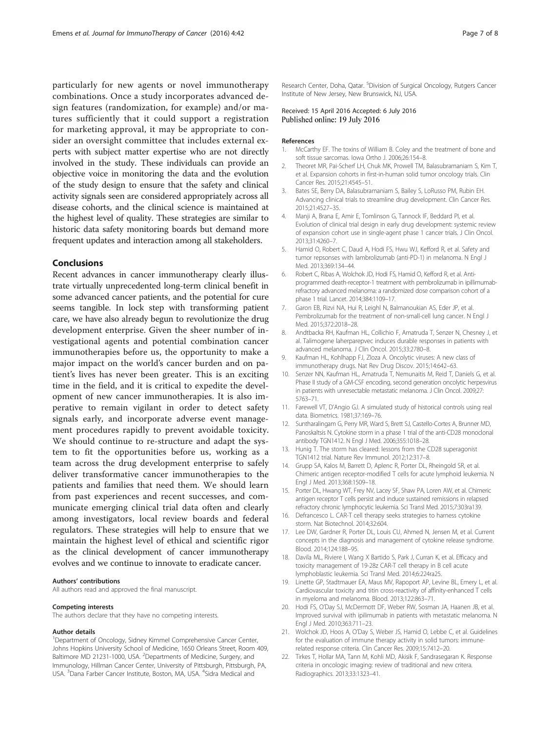<span id="page-6-0"></span>particularly for new agents or novel immunotherapy combinations. Once a study incorporates advanced design features (randomization, for example) and/or matures sufficiently that it could support a registration for marketing approval, it may be appropriate to consider an oversight committee that includes external experts with subject matter expertise who are not directly involved in the study. These individuals can provide an objective voice in monitoring the data and the evolution of the study design to ensure that the safety and clinical activity signals seen are considered appropriately across all disease cohorts, and the clinical science is maintained at the highest level of quality. These strategies are similar to historic data safety monitoring boards but demand more frequent updates and interaction among all stakeholders.

## Conclusions

Recent advances in cancer immunotherapy clearly illustrate virtually unprecedented long-term clinical benefit in some advanced cancer patients, and the potential for cure seems tangible. In lock step with transforming patient care, we have also already begun to revolutionize the drug development enterprise. Given the sheer number of investigational agents and potential combination cancer immunotherapies before us, the opportunity to make a major impact on the world's cancer burden and on patient's lives has never been greater. This is an exciting time in the field, and it is critical to expedite the development of new cancer immunotherapies. It is also imperative to remain vigilant in order to detect safety signals early, and incorporate adverse event management procedures rapidly to prevent avoidable toxicity. We should continue to re-structure and adapt the system to fit the opportunities before us, working as a team across the drug development enterprise to safely deliver transformative cancer immunotherapies to the patients and families that need them. We should learn from past experiences and recent successes, and communicate emerging clinical trial data often and clearly among investigators, local review boards and federal regulators. These strategies will help to ensure that we maintain the highest level of ethical and scientific rigor as the clinical development of cancer immunotherapy evolves and we continue to innovate to eradicate cancer.

#### Authors' contributions

All authors read and approved the final manuscript.

#### Competing interests The authors declare that they have no competing interests.

#### Author details

<sup>1</sup>Department of Oncology, Sidney Kimmel Comprehensive Cancer Center, Johns Hopkins University School of Medicine, 1650 Orleans Street, Room 409, Baltimore MD 21231-1000, USA. <sup>2</sup>Departments of Medicine, Surgery, and Immunology, Hillman Cancer Center, University of Pittsburgh, Pittsburgh, PA, USA. <sup>3</sup>Dana Farber Cancer Institute, Boston, MA, USA. <sup>4</sup>Sidra Medical and

Research Center, Doha, Qatar. <sup>5</sup> Division of Surgical Oncology, Rutgers Cancer Institute of New Jersey, New Brunswick, NJ, USA.

#### Received: 15 April 2016 Accepted: 6 July 2016 Published online: 19 July 2016

#### References

- 1. McCarthy EF. The toxins of William B. Coley and the treatment of bone and soft tissue sarcomas. Iowa Ortho J. 2006;26:154–8.
- 2. Theoret MR, Pai-Scherf LH, Chuk MK, Prowell TM, Balasubramaniam S, Kim T, et al. Expansion cohorts in first-in-human solid tumor oncology trials. Clin Cancer Res. 2015;21:4545–51.
- 3. Bates SE, Berry DA, Balasubramaniam S, Bailey S, LoRusso PM, Rubin EH. Advancing clinical trials to streamline drug development. Clin Cancer Res. 2015;21:4527–35.
- 4. Manji A, Brana E, Amir E, Tomlinson G, Tannock IF, Beddard PI, et al. Evolution of clinical trial design in early drug development: systemic review of expansion cohort use in single-agent phase 1 cancer trials. J Clin Oncol. 2013;31:4260–7.
- 5. Hamid O, Robert C, Daud A, Hodi FS, Hwu WJ, Kefford R, et al. Safety and tumor repsonses with lambrolizumab (anti-PD-1) in melanoma. N Engl J Med. 2013;369:134–44.
- 6. Robert C, Ribas A, Wolchok JD, Hodi FS, Hamid O, Kefford R, et al. Antiprogrammed death-receptor-1 treatment with pembrolizumab in ipillimumabrefractory advanced melanoma: a randomized dose comparison cohort of a phase 1 trial. Lancet. 2014;384:1109–17.
- 7. Garon EB, Rizvi NA, Hui R, Leighl N, Balmanoukian AS, Eder JP, et al. Pembrolizumab for the treatment of non-small-cell lung cancer. N Engl J Med. 2015;372:2018–28.
- 8. Andtbacka RH, Kaufman HL, Collichio F, Amatruda T, Senzer N, Chesney J, et al. Talimogene laherparepvec induces durable responses in patients with advanced melanoma. J Clin Oncol. 2015;33:2780–8.
- 9. Kaufman HL, Kohlhapp FJ, Zloza A. Oncolytic viruses: A new class of immunotherapy drugs. Nat Rev Drug Discov. 2015;14:642–63.
- 10. Senzer NN, Kaufman HL, Amatruda T, Nemunaitis M, Reid T, Daniels G, et al. Phase II study of a GM-CSF encoding, second generation oncolytic herpesvirus in patients with unresectable metastatic melanoma. J Clin Oncol. 2009;27: 5763–71.
- 11. Farewell VT, D'Angio GJ. A simulated study of historical controls using real data. Biometrics. 1981;37:169–76.
- 12. Suntharalingam G, Perry MR, Ward S, Brett SJ, Castello-Cortes A, Brunner MD, Panoskaltsis N. Cytokine storm in a phase 1 trial of the anti-CD28 monoclonal antibody TGN1412. N Engl J Med. 2006;355:1018–28.
- 13. Hunig T. The storm has cleared: lessons from the CD28 superagonist TGN1412 trial. Nature Rev Immunol. 2012;12:317–8.
- 14. Grupp SA, Kalos M, Barrett D, Aplenc R, Porter DL, Rheingold SR, et al. Chimeric antigen receptor-modified T cells for acute lymphoid leukemia. N Engl J Med. 2013;368:1509–18.
- 15. Porter DL, Hwang WT, Frey NV, Lacey SF, Shaw PA, Loren AW, et al. Chimeric antigen receptor T cells persist and induce sustained remissions in relapsed refractory chronic lymphocytic leukemia. Sci Transl Med. 2015;7:303ra139.
- 16. Defrancesco L. CAR-T cell therapy seeks strategies to harness cytokine storm. Nat Biotechnol. 2014;32:604.
- 17. Lee DW, Gardner R, Porter DL, Louis CU, Ahmed N, Jensen M, et al. Current concepts in the diagnosis and management of cytokine release syndrome. Blood. 2014;124:188–95.
- 18. Davila ML, Riviere I, Wang X Bartido S, Park J, Curran K, et al. Efficacy and toxicity management of 19-28z CAR-T cell therapy in B cell acute lymphoblastic leukemia. Sci Transl Med. 2014;6:224ra25.
- 19. Linette GP, Stadtmauer EA, Maus MV, Rapoport AP, Levine BL, Emery L, et al. Cardiovascular toxicity and titin cross-reactivity of affinity-enhanced T cells in myeloma and melanoma. Blood. 2013;122:863–71.
- 20. Hodi FS, O'Day SJ, McDermott DF, Weber RW, Sosman JA, Haanen JB, et al. Improved survival with ipilimumab in patients with metastatic melanoma. N Engl J Med. 2010;363:711–23.
- 21. Wolchok JD, Hoos A, O'Day S, Weber JS, Hamid O, Lebbe C, et al. Guidelines for the evaluation of immune therapy activity in solid tumors: immunerelated response criteria. Clin Cancer Res. 2009;15:7412–20.
- 22. Tirkes T, Hollar MA, Tann M, Kohli MD, Akisik F, Sandrasegaran K. Response criteria in oncologic imaging: review of traditional and new critera. Radiographics. 2013;33:1323–41.